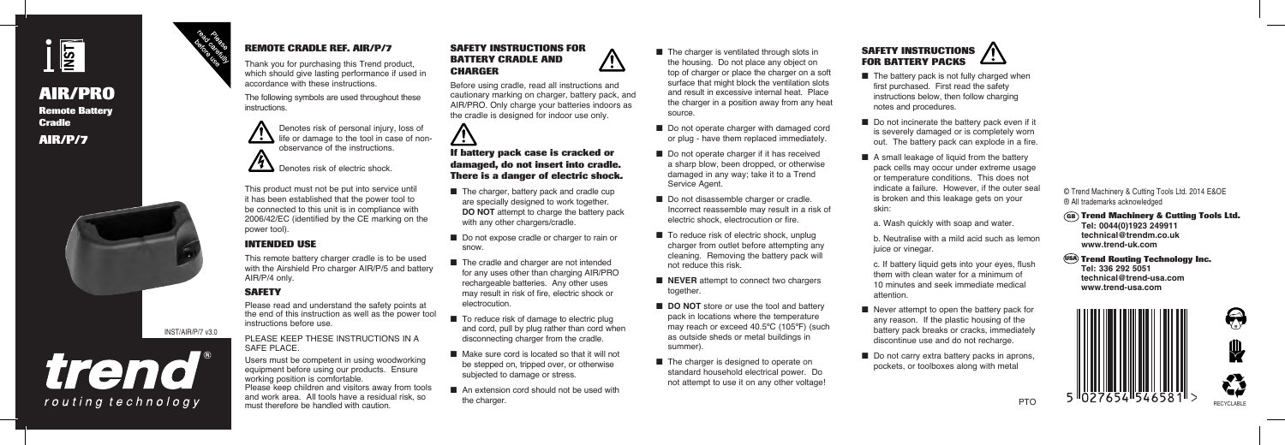

# **AIR/PRO Remote Battery Cradle AIR/P/7**



trend®

routing technology

### **REMOTE CRADLE REF. AIR/P/7**

Thank you for purchasing this Trend product, which should give lasting performance if used in accordance with these instructions.

The following symbols are used throughout these instructions.



Denotes risk of electric shock.

This product must not be put into service until it has been established that the power tool to be connected to this unit is in compliance with 2006/42/EC (identified by the CE marking on the power tool).

### **INTENDED USE**

This remote battery charger cradle is to be used with the Airshield Pro charger AIR/P/5 and battery AIR/P/4 only.

# **SAFETY**

INST/AIR/P/7 v3.0

Please read and understand the safety points at the end of this instruction as well as the power tool instructions before use.

PLEASE KEEP THESE INSTRUCTIONS IN A SAFE PLACE.

Users must be competent in using woodworking equipment before using our products. Ensure working position is comfortable. Please keep children and visitors away from tools and work area. All tools have a residual risk, so must therefore be handled with caution.

### **SAFETY INSTRUCTIONS FOR BATTERY CRADLE AND CHARGER**

Before using cradle, read all instructions and cautionary marking on charger, battery pack, and AIR/PRO. Only charge your batteries indoors as the cradle is designed for indoor use only.



#### **If battery pack case is cracked or damaged, do not insert into cradle. There is a danger of electric shock.**

- The charger, battery pack and cradle cup are specially designed to work together. **DO NOT** attempt to charge the battery pack with any other chargers/cradle.
- Do not expose cradle or charger to rain or snow.
- The cradle and charger are not intended for any uses other than charging AIR/PRO rechargeable batteries. Any other uses may result in risk of fire, electric shock or electrocution.
- To reduce risk of damage to electric plug and cord, pull by plug rather than cord when disconnecting charger from the cradle.
- Make sure cord is located so that it will not be stepped on, tripped over, or otherwise subjected to damage or stress.
- An extension cord should not be used with the charger.
- The charger is ventilated through slots in the housing. Do not place any object on top of charger or place the charger on a soft surface that might block the ventilation slots and result in excessive internal heat. Place the charger in a position away from any heat source.
- Do not operate charger with damaged cord or plug - have them replaced immediately.
- Do not operate charger if it has received a sharp blow, been dropped, or otherwise damaged in any way; take it to a Trend Service Agent.
- Do not disassemble charger or cradle. Incorrect reassemble may result in a risk of electric shock, electrocution or fire.
- To reduce risk of electric shock, unplug charger from outlet before attempting any cleaning. Removing the battery pack will not reduce this risk.
- **NEVER** attempt to connect two chargers together.
- **DO NOT** store or use the tool and battery pack in locations where the temperature may reach or exceed 40.5ºC (105ºF) (such as outside sheds or metal buildings in summer).
- The charger is designed to operate on standard household electrical power. Do not attempt to use it on any other voltage!



- $\blacksquare$  The battery pack is not fully charged when first purchased. First read the safety instructions below, then follow charging notes and procedures.
- Do not incinerate the battery pack even if it is severely damaged or is completely worn out. The battery pack can explode in a fire.
- A small leakage of liquid from the battery pack cells may occur under extreme usage or temperature conditions. This does not indicate a failure. However, if the outer seal is broken and this leakage gets on your skin:

a. Wash quickly with soap and water.

- b. Neutralise with a mild acid such as lemon juice or vinegar.
- c. If battery liquid gets into your eyes, flush them with clean water for a minimum of 10 minutes and seek immediate medical attention.
- Never attempt to open the battery pack for any reason. If the plastic housing of the battery pack breaks or cracks, immediately discontinue use and do not recharge.
- Do not carry extra battery packs in aprons, pockets, or toolboxes along with metal

#### © Trend Machinery & Cutting Tools Ltd. 2014 E&OE ® All trademarks acknowledged

### **Trend Machinery & Cutting Tools Ltd. GB**

**Tel: 0044(0)1923 249911 technical@trendm.co.uk www.trend-uk.com**

## **Trend Routing Technology Inc. USA**

**Tel: 336 292 5051 technical@trend-usa.com www.trend-usa.com**